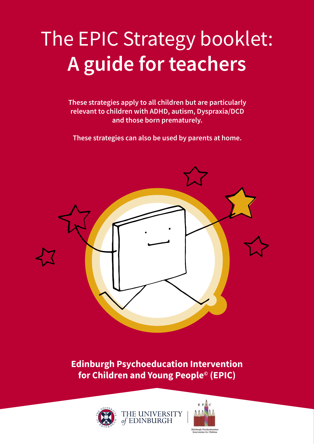# The EPIC Strategy booklet: **A guide for teachers**

**These strategies apply to all children but are particularly relevant to children with ADHD, autism, Dyspraxia/DCD and those born prematurely.**

**These strategies can also be used by parents at home.**



**Edinburgh Psychoeducation Intervention for Children and Young People© (EPIC)**



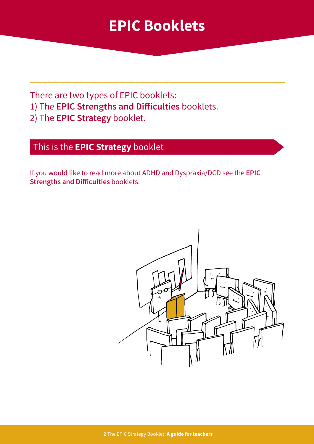### **EPIC Booklets**

There are two types of EPIC booklets:

- 1) The **EPIC Strengths and Difficulties** booklets.
- 2) The **EPIC Strategy** booklet.

### This is the **EPIC Strategy** booklet

If you would like to read more about ADHD and Dyspraxia/DCD see the **EPIC Strengths and Difficulties** booklets.

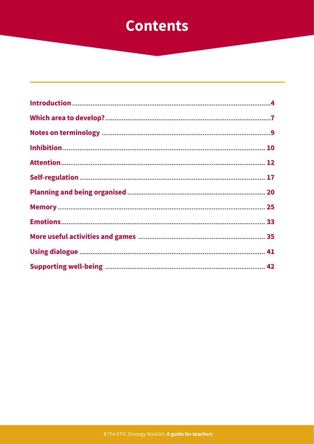### **Contents**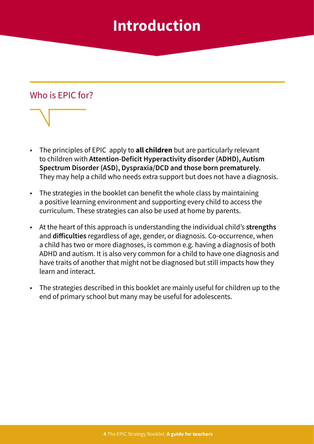### **Introduction**

### <span id="page-3-0"></span>Who is EPIC for?



- The principles of EPIC apply to **all children** but are particularly relevant to children with **Attention-Deficit Hyperactivity disorder (ADHD), Autism Spectrum Disorder (ASD), Dyspraxia/DCD and those born prematurely**. They may help a child who needs extra support but does not have a diagnosis.
- The strategies in the booklet can benefit the whole class by maintaining a positive learning environment and supporting every child to access the curriculum. These strategies can also be used at home by parents.
- At the heart of this approach is understanding the individual child's **strengths** and **difficulties** regardless of age, gender, or diagnosis. Co-occurrence, when a child has two or more diagnoses, is common e.g. having a diagnosis of both ADHD and autism. It is also very common for a child to have one diagnosis and have traits of another that might not be diagnosed but still impacts how they learn and interact.
- The strategies described in this booklet are mainly useful for children up to the end of primary school but many may be useful for adolescents.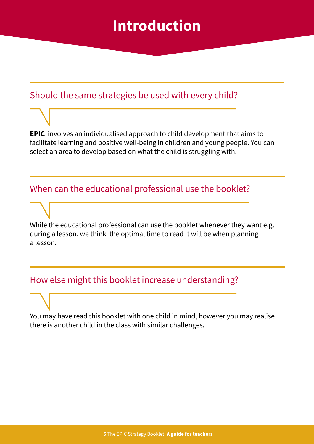### **Introduction**

### Should the same strategies be used with every child?

**EPIC** involves an individualised approach to child development that aims to facilitate learning and positive well-being in children and young people. You can select an area to develop based on what the child is struggling with.

### When can the educational professional use the booklet?

While the educational professional can use the booklet whenever they want e.g. during a lesson, we think the optimal time to read it will be when planning a lesson.

### How else might this booklet increase understanding?

You may have read this booklet with one child in mind, however you may realise there is another child in the class with similar challenges.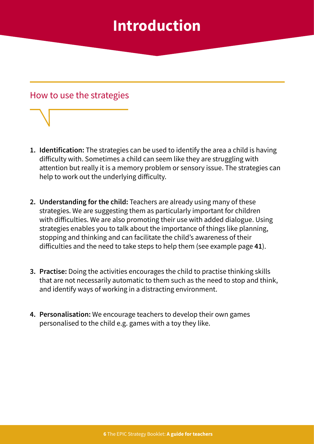### **Introduction**



- **1. Identification:** The strategies can be used to identify the area a child is having difficulty with. Sometimes a child can seem like they are struggling with attention but really it is a memory problem or sensory issue. The strategies can help to work out the underlying difficulty.
- **2. Understanding for the child:** Teachers are already using many of these strategies. We are suggesting them as particularly important for children with difficulties. We are also promoting their use with added dialogue. Using strategies enables you to talk about the importance of things like planning, stopping and thinking and can facilitate the child's awareness of their difficulties and the need to take steps to help them (see example page **41**).
- **3. Practise:** Doing the activities encourages the child to practise thinking skills that are not necessarily automatic to them such as the need to stop and think, and identify ways of working in a distracting environment.
- **4. Personalisation:** We encourage teachers to develop their own games personalised to the child e.g. games with a toy they like.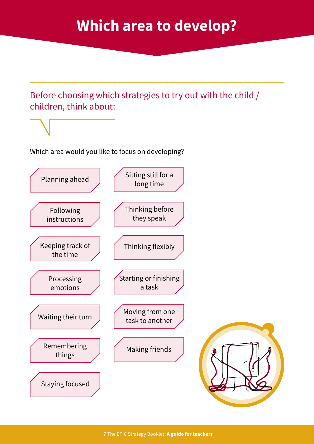### **Which area to develop?**

<span id="page-6-0"></span>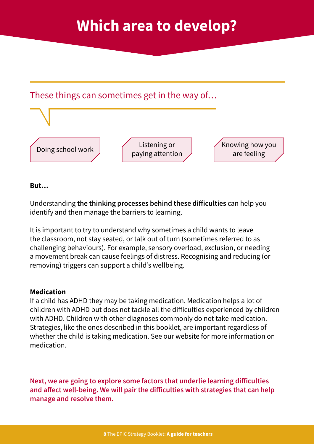### **Which area to develop?**



#### **But…**

Understanding **the thinking processes behind these difficulties** can help you identify and then manage the barriers to learning.

It is important to try to understand why sometimes a child wants to leave the classroom, not stay seated, or talk out of turn (sometimes referred to as challenging behaviours). For example, sensory overload, exclusion, or needing a movement break can cause feelings of distress. Recognising and reducing (or removing) triggers can support a child's wellbeing.

#### **Medication**

If a child has ADHD they may be taking medication. Medication helps a lot of children with ADHD but does not tackle all the difficulties experienced by children with ADHD. Children with other diagnoses commonly do not take medication. Strategies, like the ones described in this booklet, are important regardless of whether the child is taking medication. See our website for more information on medication.

**Next, we are going to explore some factors that underlie learning difficulties and affect well-being. We will pair the difficulties with strategies that can help manage and resolve them.**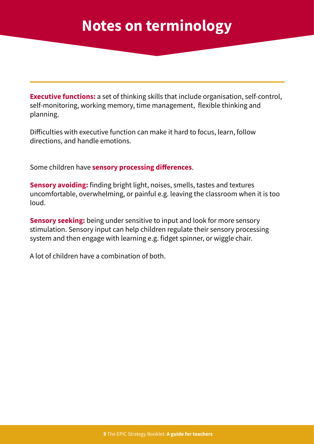<span id="page-8-0"></span>**Executive functions:** a set of thinking skills that include organisation, self-control, self-monitoring, working memory, time management, flexible thinking and planning.

Difficulties with executive function can make it hard to focus, learn, follow directions, and handle emotions.

Some children have **sensory processing differences**.

**Sensory avoiding:** finding bright light, noises, smells, tastes and textures uncomfortable, overwhelming, or painful e.g. leaving the classroom when it is too loud.

**Sensory seeking:** being under sensitive to input and look for more sensory stimulation. Sensory input can help children regulate their sensory processing system and then engage with learning e.g. fidget spinner, or wiggle chair.

A lot of children have a combination of both.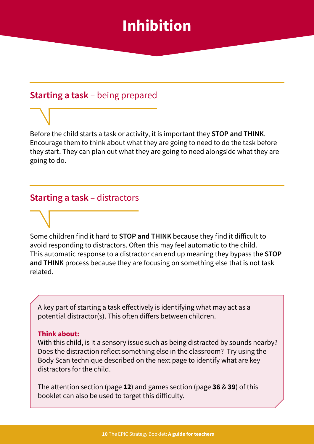### **Inhibition**

### <span id="page-9-0"></span>**Starting a task** – being prepared

Before the child starts a task or activity, it is important they **STOP and THINK**. Encourage them to think about what they are going to need to do the task before they start. They can plan out what they are going to need alongside what they are going to do.

### **Starting a task** – distractors

Some children find it hard to **STOP and THINK** because they find it difficult to avoid responding to distractors. Often this may feel automatic to the child. This automatic response to a distractor can end up meaning they bypass the **STOP and THINK** process because they are focusing on something else that is not task related.

A key part of starting a task effectively is identifying what may act as a potential distractor(s). This often differs between children.

#### **Think about:**

With this child, is it a sensory issue such as being distracted by sounds nearby? Does the distraction reflect something else in the classroom? Try using the Body Scan technique described on the next page to identify what are key distractors for the child.

The attention section (page **12**) and games section (page **36** & **39**) of this booklet can also be used to target this difficulty.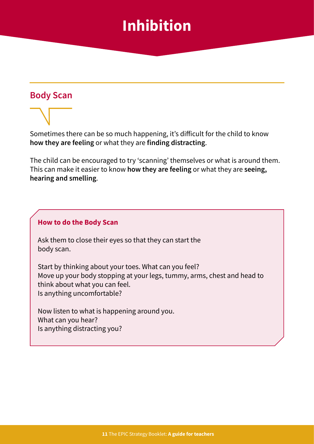## **Inhibition**

### **Body Scan**

Sometimes there can be so much happening, it's difficult for the child to know **how they are feeling** or what they are **finding distracting**.

The child can be encouraged to try 'scanning' themselves or what is around them. This can make it easier to know **how they are feeling** or what they are **seeing, hearing and smelling**.

#### **How to do the Body Scan**

Ask them to close their eyes so that they can start the body scan.

Start by thinking about your toes. What can you feel? Move up your body stopping at your legs, tummy, arms, chest and head to think about what you can feel. Is anything uncomfortable?

Now listen to what is happening around you. What can you hear? Is anything distracting you?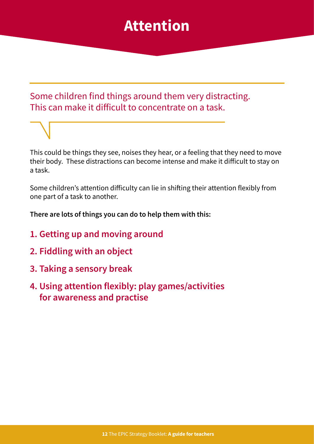### **Attention**

### <span id="page-11-0"></span>Some children find things around them very distracting. This can make it difficult to concentrate on a task.

This could be things they see, noises they hear, or a feeling that they need to move their body. These distractions can become intense and make it difficult to stay on a task.

Some children's attention difficulty can lie in shifting their attention flexibly from one part of a task to another.

**There are lots of things you can do to help them with this:**

- **1. Getting up and moving around**
- **2. Fiddling with an object**
- **3. Taking a sensory break**
- **4. Using attention flexibly: play games/activities for awareness and practise**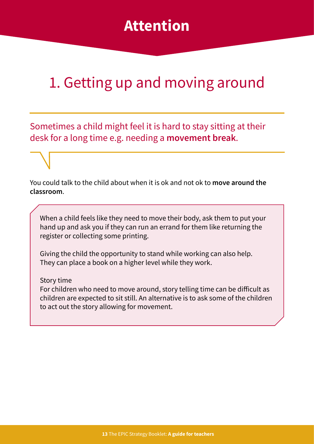### **Attention**

## 1. Getting up and moving around

Sometimes a child might feel it is hard to stay sitting at their desk for a long time e.g. needing a **movement break**.

You could talk to the child about when it is ok and not ok to **move around the classroom**.

When a child feels like they need to move their body, ask them to put your hand up and ask you if they can run an errand for them like returning the register or collecting some printing.

Giving the child the opportunity to stand while working can also help. They can place a book on a higher level while they work.

Story time

For children who need to move around, story telling time can be difficult as children are expected to sit still. An alternative is to ask some of the children to act out the story allowing for movement.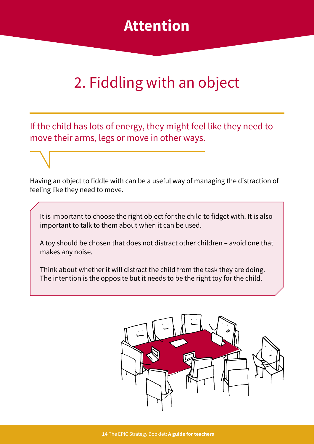

## 2. Fiddling with an object

If the child has lots of energy, they might feel like they need to move their arms, legs or move in other ways.

Having an object to fiddle with can be a useful way of managing the distraction of feeling like they need to move.

It is important to choose the right object for the child to fidget with. It is also important to talk to them about when it can be used.

A toy should be chosen that does not distract other children – avoid one that makes any noise.

Think about whether it will distract the child from the task they are doing. The intention is the opposite but it needs to be the right toy for the child.

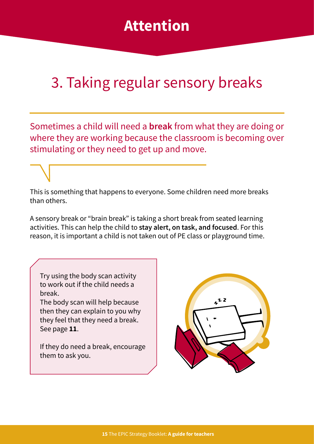### **Attention**

# 3. Taking regular sensory breaks

Sometimes a child will need a **break** from what they are doing or where they are working because the classroom is becoming over stimulating or they need to get up and move.

This is something that happens to everyone. Some children need more breaks than others.

A sensory break or "brain break" is taking a short break from seated learning activities. This can help the child to **stay alert, on task, and focused**. For this reason, it is important a child is not taken out of PE class or playground time.

Try using the body scan activity to work out if the child needs a break.

The body scan will help because then they can explain to you why they feel that they need a break. See page **11**.

If they do need a break, encourage them to ask you.

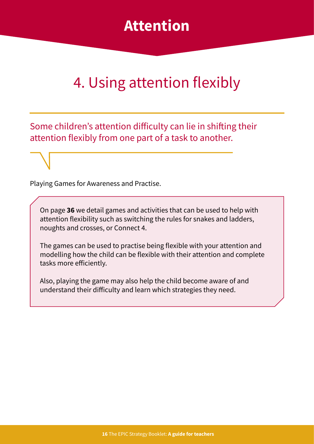### **Attention**

## 4. Using attention flexibly

Some children's attention difficulty can lie in shifting their attention flexibly from one part of a task to another.

Playing Games for Awareness and Practise.

On page **36** we detail games and activities that can be used to help with attention flexibility such as switching the rules for snakes and ladders, noughts and crosses, or Connect 4.

The games can be used to practise being flexible with your attention and modelling how the child can be flexible with their attention and complete tasks more efficiently.

Also, playing the game may also help the child become aware of and understand their difficulty and learn which strategies they need.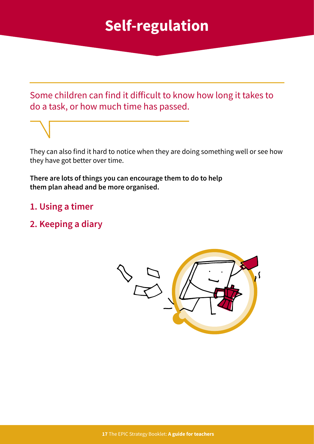## **Self-regulation**

<span id="page-16-0"></span>Some children can find it difficult to know how long it takes to do a task, or how much time has passed.

They can also find it hard to notice when they are doing something well or see how they have got better over time.

**There are lots of things you can encourage them to do to help them plan ahead and be more organised.**

- **1. Using a timer**
- **2. Keeping a diary**

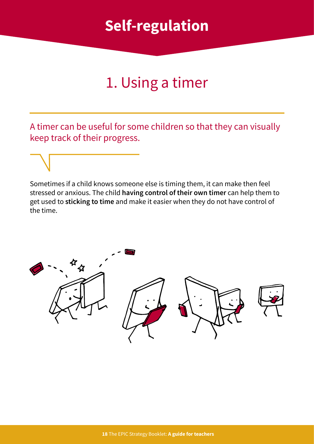### **Self-regulation**

# 1. Using a timer

A timer can be useful for some children so that they can visually keep track of their progress.

Sometimes if a child knows someone else is timing them, it can make then feel stressed or anxious. The child **having control of their own timer** can help them to get used to **sticking to time** and make it easier when they do not have control of the time.

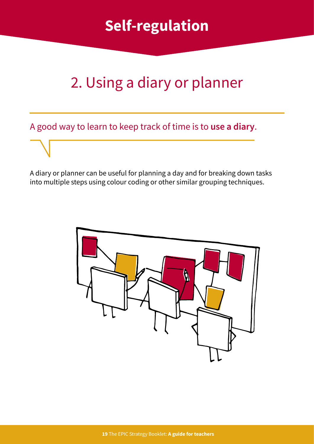# **Self-regulation**

## 2. Using a diary or planner

A good way to learn to keep track of time is to **use a diary**.

A diary or planner can be useful for planning a day and for breaking down tasks into multiple steps using colour coding or other similar grouping techniques.

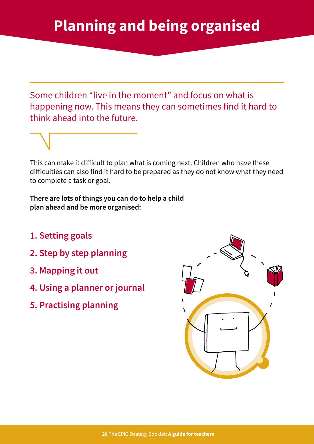<span id="page-19-0"></span>Some children "live in the moment" and focus on what is happening now. This means they can sometimes find it hard to think ahead into the future.

This can make it difficult to plan what is coming next. Children who have these difficulties can also find it hard to be prepared as they do not know what they need to complete a task or goal.

**There are lots of things you can do to help a child plan ahead and be more organised:**

- **1. Setting goals**
- **2. Step by step planning**
- **3. Mapping it out**
- **4. Using a planner or journal**
- **5. Practising planning**

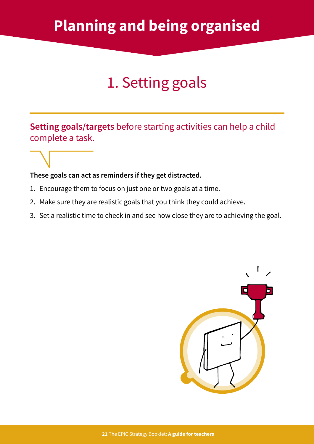## **Planning and being organised**

# 1. Setting goals

**Setting goals/targets** before starting activities can help a child complete a task.

#### **These goals can act as reminders if they get distracted.**

- 1. Encourage them to focus on just one or two goals at a time.
- 2. Make sure they are realistic goals that you think they could achieve.
- 3. Set a realistic time to check in and see how close they are to achieving the goal.

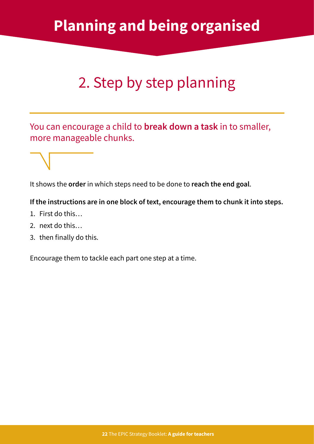## **Planning and being organised**

# 2. Step by step planning

You can encourage a child to **break down a task** in to smaller, more manageable chunks.

It shows the **order** in which steps need to be done to **reach the end goal**.

#### **If the instructions are in one block of text, encourage them to chunk it into steps.**

- 1. First do this…
- 2. next do this…
- 3. then finally do this.

Encourage them to tackle each part one step at a time.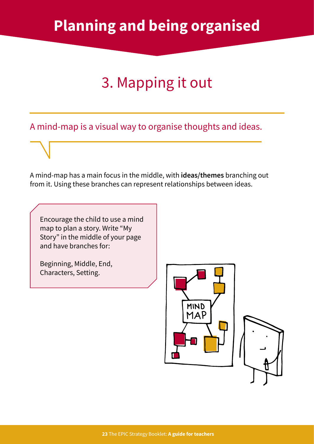# 3. Mapping it out

A mind-map is a visual way to organise thoughts and ideas.

A mind-map has a main focus in the middle, with **ideas/themes** branching out from it. Using these branches can represent relationships between ideas.

Encourage the child to use a mind map to plan a story. Write "My Story" in the middle of your page and have branches for:

Beginning, Middle, End, Characters, Setting.



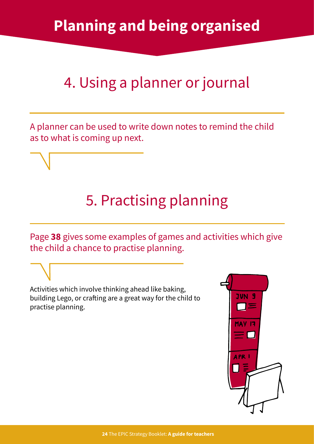# 4. Using a planner or journal

A planner can be used to write down notes to remind the child as to what is coming up next.

## 5. Practising planning

Page **38** gives some examples of games and activities which give the child a chance to practise planning.

Activities which involve thinking ahead like baking, building Lego, or crafting are a great way for the child to practise planning.

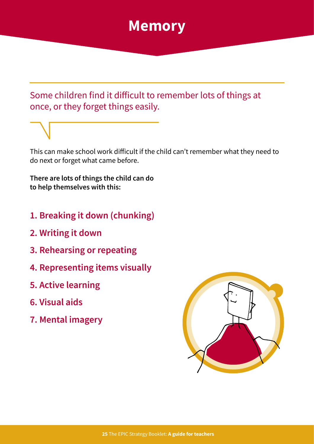### **Memory**

### <span id="page-24-0"></span>Some children find it difficult to remember lots of things at once, or they forget things easily.

This can make school work difficult if the child can't remember what they need to do next or forget what came before.

**There are lots of things the child can do to help themselves with this:**

- **1. Breaking it down (chunking)**
- **2. Writing it down**
- **3. Rehearsing or repeating**
- **4. Representing items visually**
- **5. Active learning**
- **6. Visual aids**
- **7. Mental imagery**

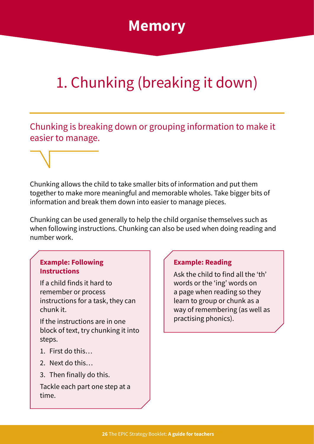### **Memory**

# 1. Chunking (breaking it down)

Chunking is breaking down or grouping information to make it easier to manage.

Chunking allows the child to take smaller bits of information and put them together to make more meaningful and memorable wholes. Take bigger bits of information and break them down into easier to manage pieces.

Chunking can be used generally to help the child organise themselves such as when following instructions. Chunking can also be used when doing reading and number work.

#### **Example: Following Instructions**

If a child finds it hard to remember or process instructions for a task, they can chunk it.

If the instructions are in one block of text, try chunking it into steps.

- 1. First do this…
- 2. Next do this…
- 3. Then finally do this.

Tackle each part one step at a time.

### **Example: Reading**

Ask the child to find all the 'th' words or the 'ing' words on a page when reading so they learn to group or chunk as a way of remembering (as well as practising phonics).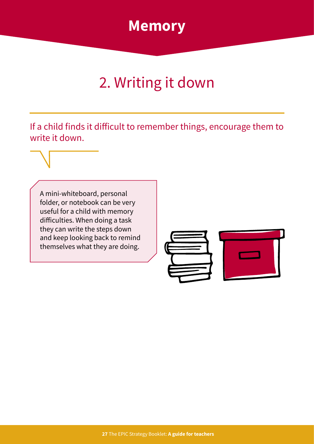

# 2. Writing it down

If a child finds it difficult to remember things, encourage them to write it down.

A mini-whiteboard, personal folder, or notebook can be very useful for a child with memory difficulties. When doing a task they can write the steps down and keep looking back to remind themselves what they are doing.

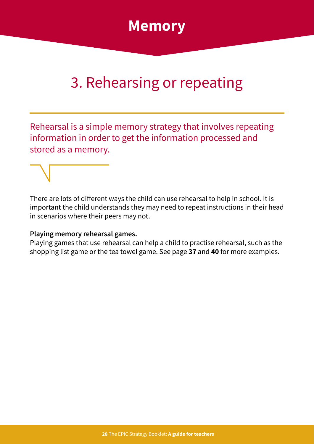

## 3. Rehearsing or repeating

Rehearsal is a simple memory strategy that involves repeating information in order to get the information processed and stored as a memory.

There are lots of different ways the child can use rehearsal to help in school. It is important the child understands they may need to repeat instructions in their head in scenarios where their peers may not.

#### **Playing memory rehearsal games.**

Playing games that use rehearsal can help a child to practise rehearsal, such as the shopping list game or the tea towel game. See page **37** and **40** for more examples.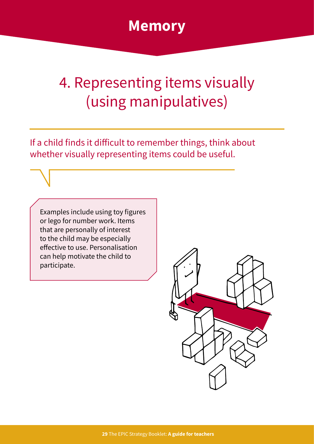

## 4. Representing items visually (using manipulatives)

If a child finds it difficult to remember things, think about whether visually representing items could be useful.

Examples include using toy figures or lego for number work. Items that are personally of interest to the child may be especially effective to use. Personalisation can help motivate the child to participate.

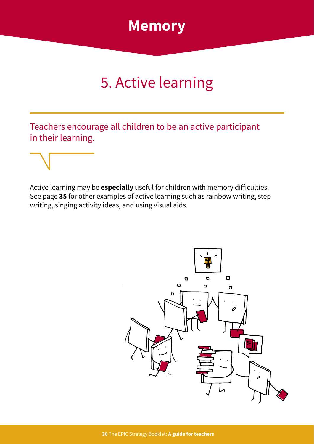

# 5. Active learning

Teachers encourage all children to be an active participant in their learning.

Active learning may be **especially** useful for children with memory difficulties. See page **35** for other examples of active learning such as rainbow writing, step writing, singing activity ideas, and using visual aids.

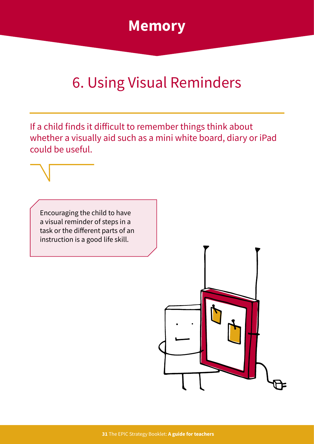

## 6. Using Visual Reminders

If a child finds it difficult to remember things think about whether a visually aid such as a mini white board, diary or iPad could be useful.

Encouraging the child to have a visual reminder of steps in a task or the different parts of an instruction is a good life skill.

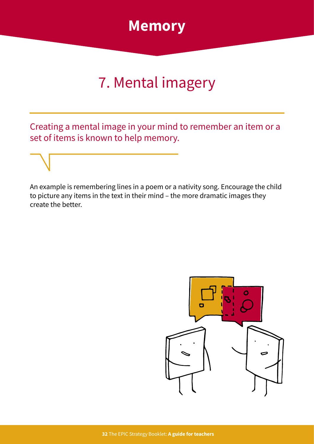

## 7. Mental imagery

Creating a mental image in your mind to remember an item or a set of items is known to help memory.

An example is remembering lines in a poem or a nativity song. Encourage the child to picture any items in the text in their mind – the more dramatic images they create the better.

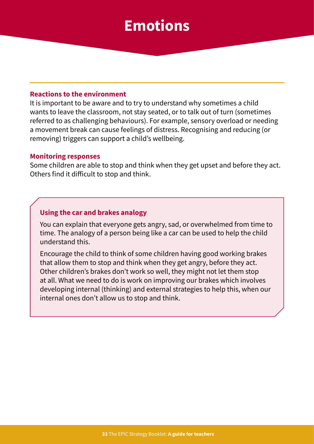### **Emotions**

#### <span id="page-32-0"></span>**Reactions to the environment**

It is important to be aware and to try to understand why sometimes a child wants to leave the classroom, not stay seated, or to talk out of turn (sometimes referred to as challenging behaviours). For example, sensory overload or needing a movement break can cause feelings of distress. Recognising and reducing (or removing) triggers can support a child's wellbeing.

#### **Monitoring responses**

Some children are able to stop and think when they get upset and before they act. Others find it difficult to stop and think.

#### **Using the car and brakes analogy**

You can explain that everyone gets angry, sad, or overwhelmed from time to time. The analogy of a person being like a car can be used to help the child understand this.

Encourage the child to think of some children having good working brakes that allow them to stop and think when they get angry, before they act. Other children's brakes don't work so well, they might not let them stop at all. What we need to do is work on improving our brakes which involves developing internal (thinking) and external strategies to help this, when our internal ones don't allow us to stop and think.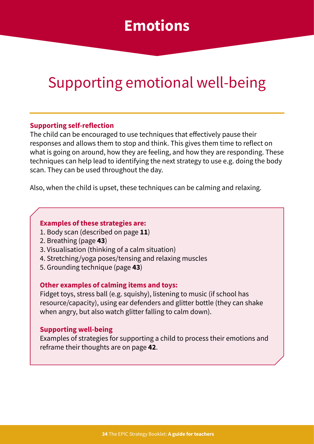### **Emotions**

## Supporting emotional well-being

#### **Supporting self-reflection**

The child can be encouraged to use techniques that effectively pause their responses and allows them to stop and think. This gives them time to reflect on what is going on around, how they are feeling, and how they are responding. These techniques can help lead to identifying the next strategy to use e.g. doing the body scan. They can be used throughout the day.

Also, when the child is upset, these techniques can be calming and relaxing.

#### **Examples of these strategies are:**

- 1. Body scan (described on page **11**)
- 2. Breathing (page **43**)
- 3. Visualisation (thinking of a calm situation)
- 4. Stretching/yoga poses/tensing and relaxing muscles
- 5. Grounding technique (page **43**)

#### **Other examples of calming items and toys:**

Fidget toys, stress ball (e.g. squishy), listening to music (if school has resource/capacity), using ear defenders and glitter bottle (they can shake when angry, but also watch glitter falling to calm down).

#### **Supporting well-being**

Examples of strategies for supporting a child to process their emotions and reframe their thoughts are on page **42**.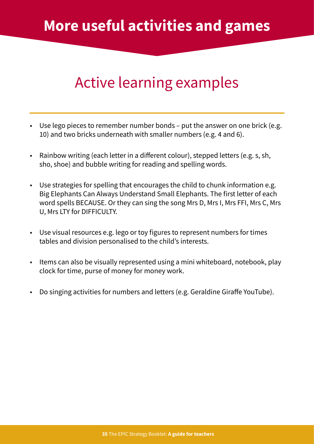## <span id="page-34-0"></span>Active learning examples

- Use lego pieces to remember number bonds put the answer on one brick (e.g. 10) and two bricks underneath with smaller numbers (e.g. 4 and 6).
- Rainbow writing (each letter in a different colour), stepped letters (e.g. s, sh, sho, shoe) and bubble writing for reading and spelling words.
- Use strategies for spelling that encourages the child to chunk information e.g. Big Elephants Can Always Understand Small Elephants. The first letter of each word spells BECAUSE. Or they can sing the song Mrs D, Mrs I, Mrs FFI, Mrs C, Mrs U, Mrs LTY for DIFFICULTY.
- Use visual resources e.g. lego or toy figures to represent numbers for times tables and division personalised to the child's interests.
- Items can also be visually represented using a mini whiteboard, notebook, play clock for time, purse of money for money work.
- Do singing activities for numbers and letters (e.g. Geraldine Giraffe YouTube).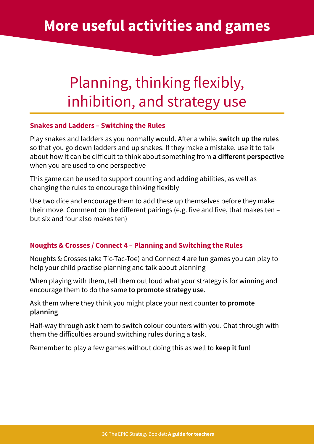### **More useful activities and games**

## Planning, thinking flexibly, inhibition, and strategy use

#### **Snakes and Ladders – Switching the Rules**

Play snakes and ladders as you normally would. After a while, **switch up the rules** so that you go down ladders and up snakes. If they make a mistake, use it to talk about how it can be difficult to think about something from **a different perspective** when you are used to one perspective

This game can be used to support counting and adding abilities, as well as changing the rules to encourage thinking flexibly

Use two dice and encourage them to add these up themselves before they make their move. Comment on the different pairings (e.g. five and five, that makes ten – but six and four also makes ten)

#### **Noughts & Crosses / Connect 4 – Planning and Switching the Rules**

Noughts & Crosses (aka Tic-Tac-Toe) and Connect 4 are fun games you can play to help your child practise planning and talk about planning

When playing with them, tell them out loud what your strategy is for winning and encourage them to do the same **to promote strategy use**.

Ask them where they think you might place your next counter **to promote planning**.

Half-way through ask them to switch colour counters with you. Chat through with them the difficulties around switching rules during a task.

Remember to play a few games without doing this as well to **keep it fun**!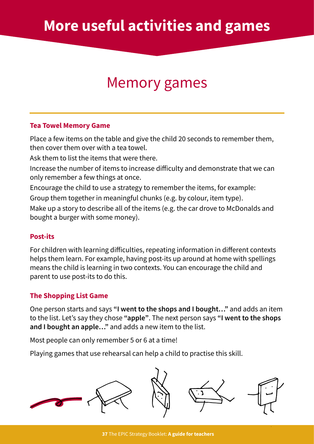## Memory games

#### **Tea Towel Memory Game**

Place a few items on the table and give the child 20 seconds to remember them, then cover them over with a tea towel.

Ask them to list the items that were there.

Increase the number of items to increase difficulty and demonstrate that we can only remember a few things at once.

Encourage the child to use a strategy to remember the items, for example:

Group them together in meaningful chunks (e.g. by colour, item type).

Make up a story to describe all of the items (e.g. the car drove to McDonalds and bought a burger with some money).

#### **Post-its**

For children with learning difficulties, repeating information in different contexts helps them learn. For example, having post-its up around at home with spellings means the child is learning in two contexts. You can encourage the child and parent to use post-its to do this.

### **The Shopping List Game**

One person starts and says **"I went to the shops and I bought…"** and adds an item to the list. Let's say they chose **"apple"**. The next person says **"I went to the shops and I bought an apple…"** and adds a new item to the list.

Most people can only remember 5 or 6 at a time!

Playing games that use rehearsal can help a child to practise this skill.

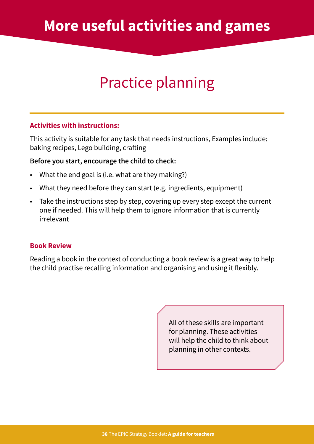## **More useful activities and games**

## Practice planning

#### **Activities with instructions:**

This activity is suitable for any task that needs instructions, Examples include: baking recipes, Lego building, crafting

#### **Before you start, encourage the child to check:**

- What the end goal is (i.e. what are they making?)
- What they need before they can start (e.g. ingredients, equipment)
- Take the instructions step by step, covering up every step except the current one if needed. This will help them to ignore information that is currently irrelevant

#### **Book Review**

Reading a book in the context of conducting a book review is a great way to help the child practise recalling information and organising and using it flexibly.

> All of these skills are important for planning. These activities will help the child to think about planning in other contexts.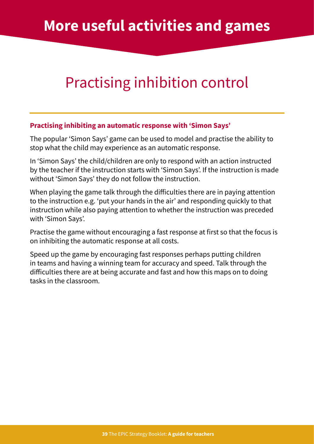### **More useful activities and games**

## Practising inhibition control

#### **Practising inhibiting an automatic response with 'Simon Says'**

The popular 'Simon Says' game can be used to model and practise the ability to stop what the child may experience as an automatic response.

In 'Simon Says' the child/children are only to respond with an action instructed by the teacher if the instruction starts with 'Simon Says'. If the instruction is made without 'Simon Says' they do not follow the instruction.

When playing the game talk through the difficulties there are in paying attention to the instruction e.g. 'put your hands in the air' and responding quickly to that instruction while also paying attention to whether the instruction was preceded with 'Simon Says'.

Practise the game without encouraging a fast response at first so that the focus is on inhibiting the automatic response at all costs.

Speed up the game by encouraging fast responses perhaps putting children in teams and having a winning team for accuracy and speed. Talk through the difficulties there are at being accurate and fast and how this maps on to doing tasks in the classroom.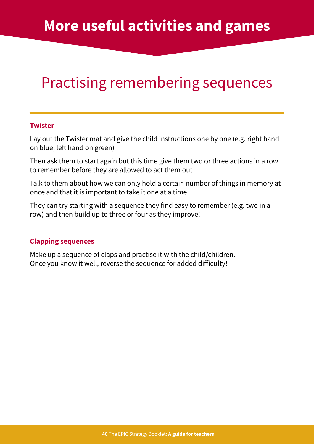## Practising remembering sequences

#### **Twister**

Lay out the Twister mat and give the child instructions one by one (e.g. right hand on blue, left hand on green)

Then ask them to start again but this time give them two or three actions in a row to remember before they are allowed to act them out

Talk to them about how we can only hold a certain number of things in memory at once and that it is important to take it one at a time.

They can try starting with a sequence they find easy to remember (e.g. two in a row) and then build up to three or four as they improve!

#### **Clapping sequences**

Make up a sequence of claps and practise it with the child/children. Once you know it well, reverse the sequence for added difficulty!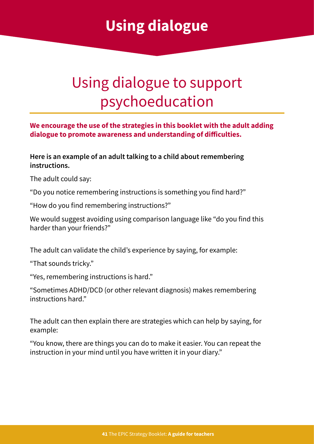## **Using dialogue**

## <span id="page-40-0"></span>Using dialogue to support psychoeducation

#### **We encourage the use of the strategies in this booklet with the adult adding dialogue to promote awareness and understanding of difficulties.**

#### **Here is an example of an adult talking to a child about remembering instructions.**

The adult could say:

"Do you notice remembering instructions is something you find hard?"

"How do you find remembering instructions?"

We would suggest avoiding using comparison language like "do you find this harder than your friends?"

The adult can validate the child's experience by saying, for example:

"That sounds tricky."

"Yes, remembering instructions is hard."

"Sometimes ADHD/DCD (or other relevant diagnosis) makes remembering instructions hard."

The adult can then explain there are strategies which can help by saying, for example:

"You know, there are things you can do to make it easier. You can repeat the instruction in your mind until you have written it in your diary."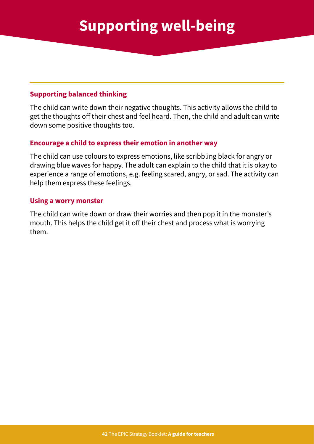#### <span id="page-41-0"></span>**Supporting balanced thinking**

The child can write down their negative thoughts. This activity allows the child to get the thoughts off their chest and feel heard. Then, the child and adult can write down some positive thoughts too.

#### **Encourage a child to express their emotion in another way**

The child can use colours to express emotions, like scribbling black for angry or drawing blue waves for happy. The adult can explain to the child that it is okay to experience a range of emotions, e.g. feeling scared, angry, or sad. The activity can help them express these feelings.

#### **Using a worry monster**

The child can write down or draw their worries and then pop it in the monster's mouth. This helps the child get it off their chest and process what is worrying them.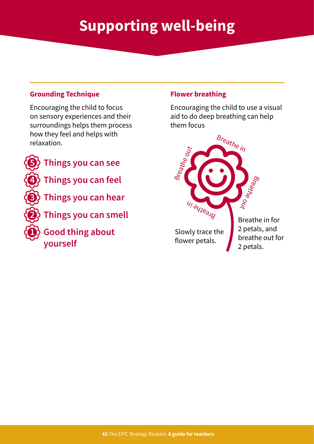## **Supporting well-being**

#### **Grounding Technique**

Encouraging the child to focus on sensory experiences and their surroundings helps them process how they feel and helps with relaxation.



### **5 Things you can see**

**4 Things you can feel**

**3 Things you can hear**

**2 Things you can smell**

**1 Good thing about yourself**

#### **Flower breathing**

Encouraging the child to use a visual aid to do deep breathing can help them focus